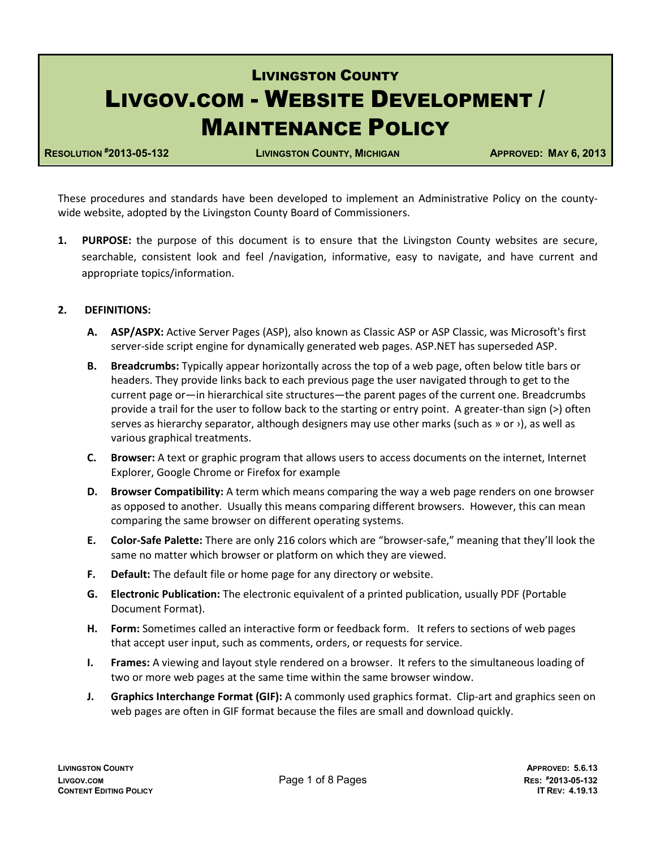# LIVINGSTON COUNTY LIVGOV.COM - WEBSITE DEVELOPMENT / MAINTENANCE POLICY

**RESOLUTION #2013-05-132 LIVINGSTON COUNTY, MICHIGAN APPROVED: MAY 6, 2013**

These procedures and standards have been developed to implement an Administrative Policy on the countywide website, adopted by the Livingston County Board of Commissioners.

**1. PURPOSE:** the purpose of this document is to ensure that the Livingston County websites are secure, searchable, consistent look and feel /navigation, informative, easy to navigate, and have current and appropriate topics/information.

# **2. DEFINITIONS:**

- **A. ASP/ASPX:** Active Server Pages (ASP), also known as Classic ASP or ASP Classic, was Microsoft's first server-side script engine for dynamically generated web pages. ASP.NET has superseded ASP.
- **B. Breadcrumbs:** Typically appear horizontally across the top of a web page, often below title bars or headers. They provide links back to each previous page the user navigated through to get to the current page or—in hierarchical site structures—the parent pages of the current one. Breadcrumbs provide a trail for the user to follow back to the starting or entry point. A greater-than sign (>) often serves as hierarchy separator, although designers may use other marks (such as » or >), as well as various graphical treatments.
- **C. Browser:** A text or graphic program that allows users to access documents on the internet, Internet Explorer, Google Chrome or Firefox for example
- **D. Browser Compatibility:** A term which means comparing the way a web page renders on one browser as opposed to another. Usually this means comparing different browsers. However, this can mean comparing the same browser on different operating systems.
- **E. Color-Safe Palette:** There are only 216 colors which are "browser-safe," meaning that they'll look the same no matter which browser or platform on which they are viewed.
- **F. Default:** The default file or home page for any directory or website.
- **G. Electronic Publication:** The electronic equivalent of a printed publication, usually PDF (Portable Document Format).
- **H. Form:** Sometimes called an interactive form or feedback form. It refers to sections of web pages that accept user input, such as comments, orders, or requests for service.
- **I. Frames:** A viewing and layout style rendered on a browser. It refers to the simultaneous loading of two or more web pages at the same time within the same browser window.
- **J. Graphics Interchange Format (GIF):** A commonly used graphics format. Clip-art and graphics seen on web pages are often in GIF format because the files are small and download quickly.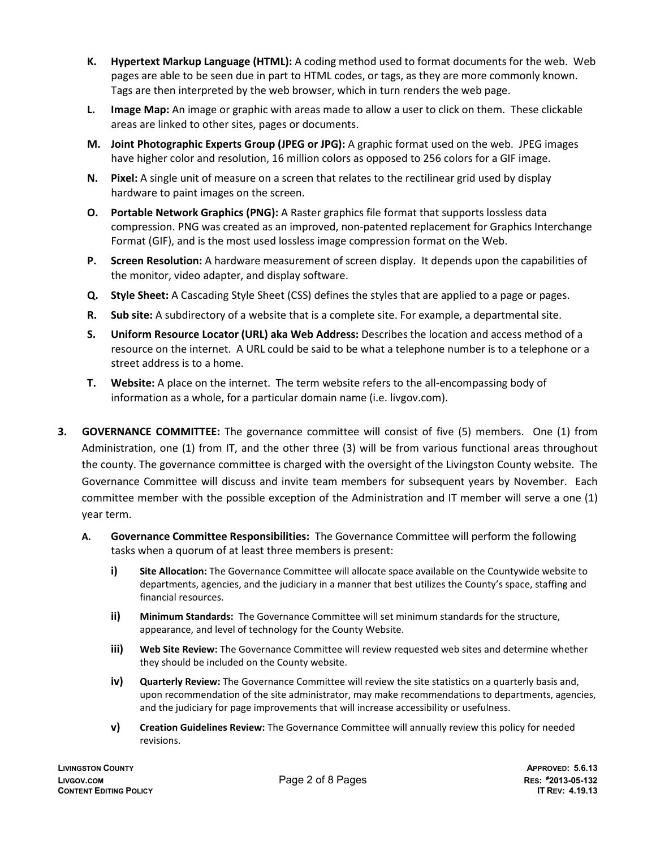- **K. Hypertext Markup Language (HTML):** A coding method used to format documents for the web. Web pages are able to be seen due in part to HTML codes, or tags, as they are more commonly known. Tags are then interpreted by the web browser, which in turn renders the web page.
- **L. Image Map:** An image or graphic with areas made to allow a user to click on them. These clickable areas are linked to other sites, pages or documents.
- **M. Joint Photographic Experts Group (JPEG or JPG):** A graphic format used on the web. JPEG images have higher color and resolution, 16 million colors as opposed to 256 colors for a GIF image.
- **N. Pixel:** A single unit of measure on a screen that relates to the rectilinear grid used by display hardware to paint images on the screen.
- **O. Portable Network Graphics (PNG):** A Raster graphics file format that supports lossless data compression. PNG was created as an improved, non-patented replacement for Graphics Interchange Format (GIF), and is the most used lossless image compression format on the Web.
- **P. Screen Resolution:** A hardware measurement of screen display. It depends upon the capabilities of the monitor, video adapter, and display software.
- **Q. Style Sheet:** A Cascading Style Sheet (CSS) defines the styles that are applied to a page or pages.
- **R. Sub site:** A subdirectory of a website that is a complete site. For example, a departmental site.
- **S. Uniform Resource Locator (URL) aka Web Address:** Describes the location and access method of a resource on the internet. A URL could be said to be what a telephone number is to a telephone or a street address is to a home.
- **T. Website:** A place on the internet. The term website refers to the all-encompassing body of information as a whole, for a particular domain name (i.e. livgov.com).
- **3. GOVERNANCE COMMITTEE:** The governance committee will consist of five (5) members. One (1) from Administration, one (1) from IT, and the other three (3) will be from various functional areas throughout the county. The governance committee is charged with the oversight of the Livingston County website. The Governance Committee will discuss and invite team members for subsequent years by November. Each committee member with the possible exception of the Administration and IT member will serve a one (1) year term.
	- **A. Governance Committee Responsibilities:** The Governance Committee will perform the following tasks when a quorum of at least three members is present:
		- **i) Site Allocation:** The Governance Committee will allocate space available on the Countywide website to departments, agencies, and the judiciary in a manner that best utilizes the County's space, staffing and financial resources.
		- **ii) Minimum Standards:** The Governance Committee will set minimum standards for the structure, appearance, and level of technology for the County Website.
		- **iii) Web Site Review:** The Governance Committee will review requested web sites and determine whether they should be included on the County website.
		- **iv) Quarterly Review:** The Governance Committee will review the site statistics on a quarterly basis and, upon recommendation of the site administrator, may make recommendations to departments, agencies, and the judiciary for page improvements that will increase accessibility or usefulness.
		- **v) Creation Guidelines Review:** The Governance Committee will annually review this policy for needed revisions.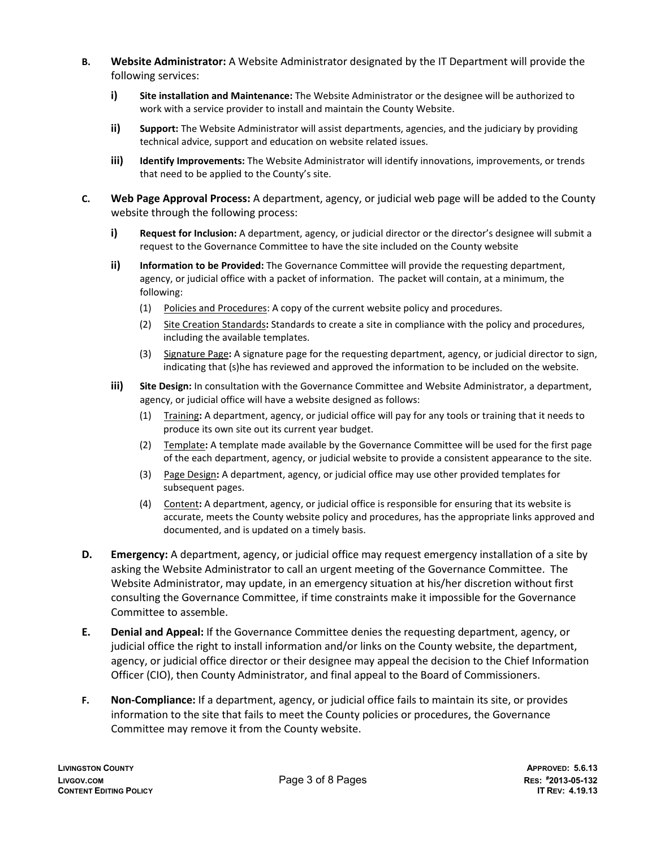- **B. Website Administrator:** A Website Administrator designated by the IT Department will provide the following services:
	- **i) Site installation and Maintenance:** The Website Administrator or the designee will be authorized to work with a service provider to install and maintain the County Website.
	- **ii) Support:** The Website Administrator will assist departments, agencies, and the judiciary by providing technical advice, support and education on website related issues.
	- **iii) Identify Improvements:** The Website Administrator will identify innovations, improvements, or trends that need to be applied to the County's site.
- **C. Web Page Approval Process:** A department, agency, or judicial web page will be added to the County website through the following process:
	- **i) Request for Inclusion:** A department, agency, or judicial director or the director's designee will submit a request to the Governance Committee to have the site included on the County website
	- **ii) Information to be Provided:** The Governance Committee will provide the requesting department, agency, or judicial office with a packet of information. The packet will contain, at a minimum, the following:
		- (1) Policies and Procedures: A copy of the current website policy and procedures.
		- (2) Site Creation Standards**:** Standards to create a site in compliance with the policy and procedures, including the available templates.
		- (3) Signature Page**:** A signature page for the requesting department, agency, or judicial director to sign, indicating that (s)he has reviewed and approved the information to be included on the website.
	- **iii) Site Design:** In consultation with the Governance Committee and Website Administrator, a department, agency, or judicial office will have a website designed as follows:
		- (1) Training**:** A department, agency, or judicial office will pay for any tools or training that it needs to produce its own site out its current year budget.
		- (2) Template**:** A template made available by the Governance Committee will be used for the first page of the each department, agency, or judicial website to provide a consistent appearance to the site.
		- (3) Page Design**:** A department, agency, or judicial office may use other provided templates for subsequent pages.
		- (4) Content**:** A department, agency, or judicial office is responsible for ensuring that its website is accurate, meets the County website policy and procedures, has the appropriate links approved and documented, and is updated on a timely basis.
- **D. Emergency:** A department, agency, or judicial office may request emergency installation of a site by asking the Website Administrator to call an urgent meeting of the Governance Committee. The Website Administrator, may update, in an emergency situation at his/her discretion without first consulting the Governance Committee, if time constraints make it impossible for the Governance Committee to assemble.
- **E. Denial and Appeal:** If the Governance Committee denies the requesting department, agency, or judicial office the right to install information and/or links on the County website, the department, agency, or judicial office director or their designee may appeal the decision to the Chief Information Officer (CIO), then County Administrator, and final appeal to the Board of Commissioners.
- **F. Non-Compliance:** If a department, agency, or judicial office fails to maintain its site, or provides information to the site that fails to meet the County policies or procedures, the Governance Committee may remove it from the County website.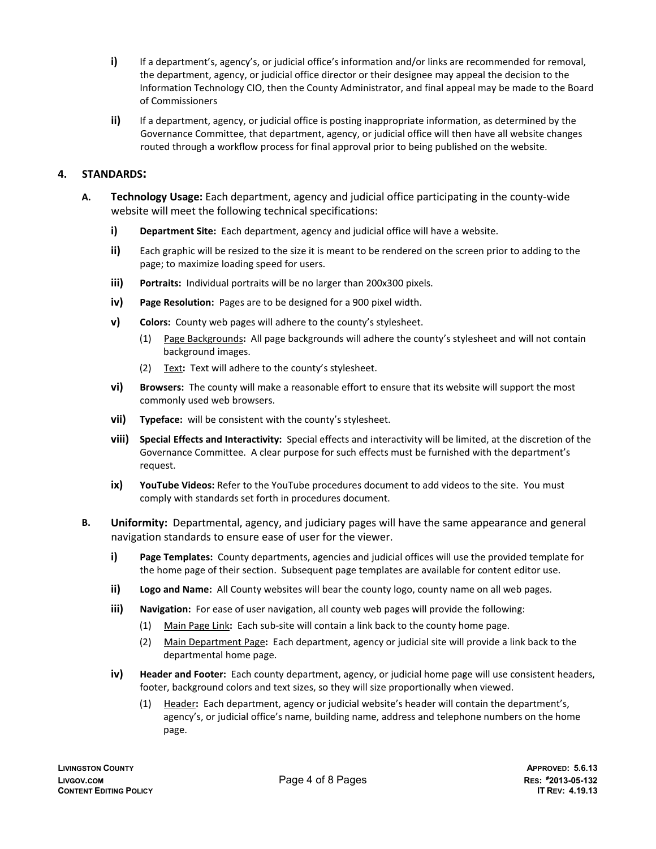- **i)** If a department's, agency's, or judicial office's information and/or links are recommended for removal, the department, agency, or judicial office director or their designee may appeal the decision to the Information Technology CIO, then the County Administrator, and final appeal may be made to the Board of Commissioners
- **ii)** If a department, agency, or judicial office is posting inappropriate information, as determined by the Governance Committee, that department, agency, or judicial office will then have all website changes routed through a workflow process for final approval prior to being published on the website.

# **4. STANDARDS:**

- **A. Technology Usage:** Each department, agency and judicial office participating in the county-wide website will meet the following technical specifications:
	- **i) Department Site:** Each department, agency and judicial office will have a website.
	- **ii)** Each graphic will be resized to the size it is meant to be rendered on the screen prior to adding to the page; to maximize loading speed for users.
	- **iii) Portraits:** Individual portraits will be no larger than 200x300 pixels.
	- **iv) Page Resolution:** Pages are to be designed for a 900 pixel width.
	- **v) Colors:** County web pages will adhere to the county's stylesheet.
		- (1) Page Backgrounds**:** All page backgrounds will adhere the county's stylesheet and will not contain background images.
		- (2) Text**:** Text will adhere to the county's stylesheet.
	- **vi) Browsers:** The county will make a reasonable effort to ensure that its website will support the most commonly used web browsers.
	- **vii) Typeface:** will be consistent with the county's stylesheet.
	- **viii) Special Effects and Interactivity:** Special effects and interactivity will be limited, at the discretion of the Governance Committee. A clear purpose for such effects must be furnished with the department's request.
	- **ix) YouTube Videos:** Refer to the YouTube procedures document to add videos to the site. You must comply with standards set forth in procedures document.
- **B. Uniformity:** Departmental, agency, and judiciary pages will have the same appearance and general navigation standards to ensure ease of user for the viewer.
	- **i) Page Templates:** County departments, agencies and judicial offices will use the provided template for the home page of their section. Subsequent page templates are available for content editor use.
	- **ii) Logo and Name:** All County websites will bear the county logo, county name on all web pages.
	- **iii)** Navigation: For ease of user navigation, all county web pages will provide the following:
		- (1) Main Page Link**:** Each sub-site will contain a link back to the county home page.
		- (2) Main Department Page**:** Each department, agency or judicial site will provide a link back to the departmental home page.
	- **iv) Header and Footer:** Each county department, agency, or judicial home page will use consistent headers, footer, background colors and text sizes, so they will size proportionally when viewed.
		- (1) Header**:** Each department, agency or judicial website's header will contain the department's, agency's, or judicial office's name, building name, address and telephone numbers on the home page.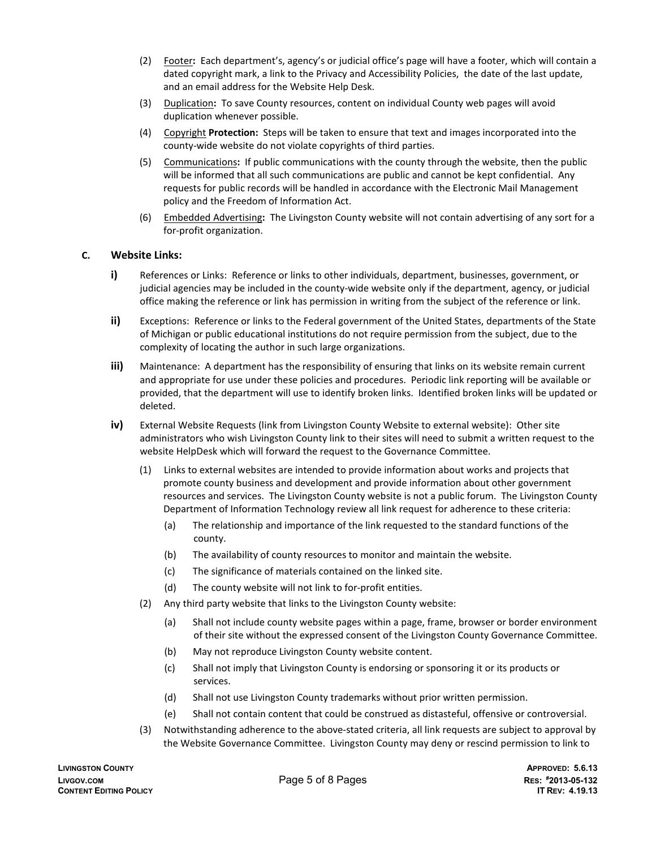- (2) Footer**:** Each department's, agency's or judicial office's page will have a footer, which will contain a dated copyright mark, a link to the Privacy and Accessibility Policies, the date of the last update, and an email address for the Website Help Desk.
- (3) Duplication**:** To save County resources, content on individual County web pages will avoid duplication whenever possible.
- (4) Copyright **Protection:** Steps will be taken to ensure that text and images incorporated into the county-wide website do not violate copyrights of third parties.
- (5) Communications**:** If public communications with the county through the website, then the public will be informed that all such communications are public and cannot be kept confidential. Any requests for public records will be handled in accordance with the Electronic Mail Management policy and the Freedom of Information Act.
- (6) Embedded Advertising**:** The Livingston County website will not contain advertising of any sort for a for-profit organization.

#### **C. Website Links:**

- **i)** References or Links: Reference or links to other individuals, department, businesses, government, or judicial agencies may be included in the county-wide website only if the department, agency, or judicial office making the reference or link has permission in writing from the subject of the reference or link.
- **ii)** Exceptions: Reference or links to the Federal government of the United States, departments of the State of Michigan or public educational institutions do not require permission from the subject, due to the complexity of locating the author in such large organizations.
- **iii)** Maintenance: A department has the responsibility of ensuring that links on its website remain current and appropriate for use under these policies and procedures. Periodic link reporting will be available or provided, that the department will use to identify broken links. Identified broken links will be updated or deleted.
- **iv)** External Website Requests (link from Livingston County Website to external website): Other site administrators who wish Livingston County link to their sites will need to submit a written request to the website HelpDesk which will forward the request to the Governance Committee.
	- (1) Links to external websites are intended to provide information about works and projects that promote county business and development and provide information about other government resources and services. The Livingston County website is not a public forum. The Livingston County Department of Information Technology review all link request for adherence to these criteria:
		- (a) The relationship and importance of the link requested to the standard functions of the county.
		- (b) The availability of county resources to monitor and maintain the website.
		- (c) The significance of materials contained on the linked site.
		- (d) The county website will not link to for-profit entities.
	- (2) Any third party website that links to the Livingston County website:
		- (a) Shall not include county website pages within a page, frame, browser or border environment of their site without the expressed consent of the Livingston County Governance Committee.
		- (b) May not reproduce Livingston County website content.
		- (c) Shall not imply that Livingston County is endorsing or sponsoring it or its products or services.
		- (d) Shall not use Livingston County trademarks without prior written permission.
		- (e) Shall not contain content that could be construed as distasteful, offensive or controversial.
	- (3) Notwithstanding adherence to the above-stated criteria, all link requests are subject to approval by the Website Governance Committee. Livingston County may deny or rescind permission to link to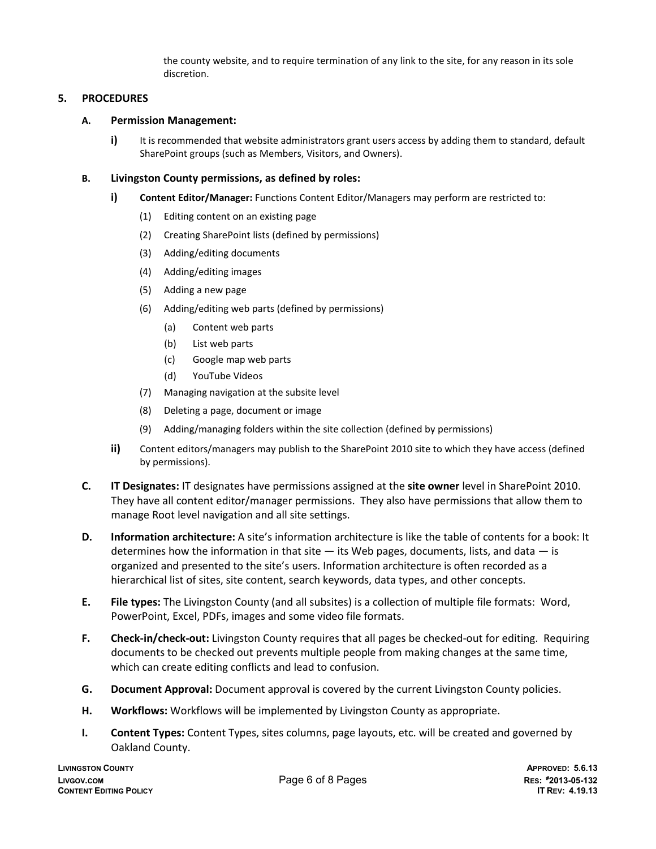the county website, and to require termination of any link to the site, for any reason in its sole discretion.

# **5. PROCEDURES**

#### **A. Permission Management:**

**i)** It is recommended that website administrators grant users access by adding them to standard, default SharePoint groups (such as Members, Visitors, and Owners).

#### **B. Livingston County permissions, as defined by roles:**

- **i) Content Editor/Manager:** Functions Content Editor/Managers may perform are restricted to:
	- (1) Editing content on an existing page
	- (2) Creating SharePoint lists (defined by permissions)
	- (3) Adding/editing documents
	- (4) Adding/editing images
	- (5) Adding a new page
	- (6) Adding/editing web parts (defined by permissions)
		- (a) Content web parts
		- (b) List web parts
		- (c) Google map web parts
		- (d) YouTube Videos
	- (7) Managing navigation at the subsite level
	- (8) Deleting a page, document or image
	- (9) Adding/managing folders within the site collection (defined by permissions)
- **ii)** Content editors/managers may publish to the SharePoint 2010 site to which they have access (defined by permissions).
- **C. IT Designates:** IT designates have permissions assigned at the **site owner** level in SharePoint 2010. They have all content editor/manager permissions. They also have permissions that allow them to manage Root level navigation and all site settings.
- **D. Information architecture:** A site's information architecture is like the table of contents for a book: It determines how the information in that site  $-$  its Web pages, documents, lists, and data  $-$  is organized and presented to the site's users. Information architecture is often recorded as a hierarchical list of sites, site content, search keywords, data types, and other concepts.
- **E. File types:** The Livingston County (and all subsites) is a collection of multiple file formats: Word, PowerPoint, Excel, PDFs, images and some video file formats.
- **F. Check-in/check-out:** Livingston County requires that all pages be checked-out for editing. Requiring documents to be checked out prevents multiple people from making changes at the same time, which can create editing conflicts and lead to confusion.
- **G. Document Approval:** Document approval is covered by the current Livingston County policies.
- **H. Workflows:** Workflows will be implemented by Livingston County as appropriate.
- **I. Content Types:** Content Types, sites columns, page layouts, etc. will be created and governed by Oakland County.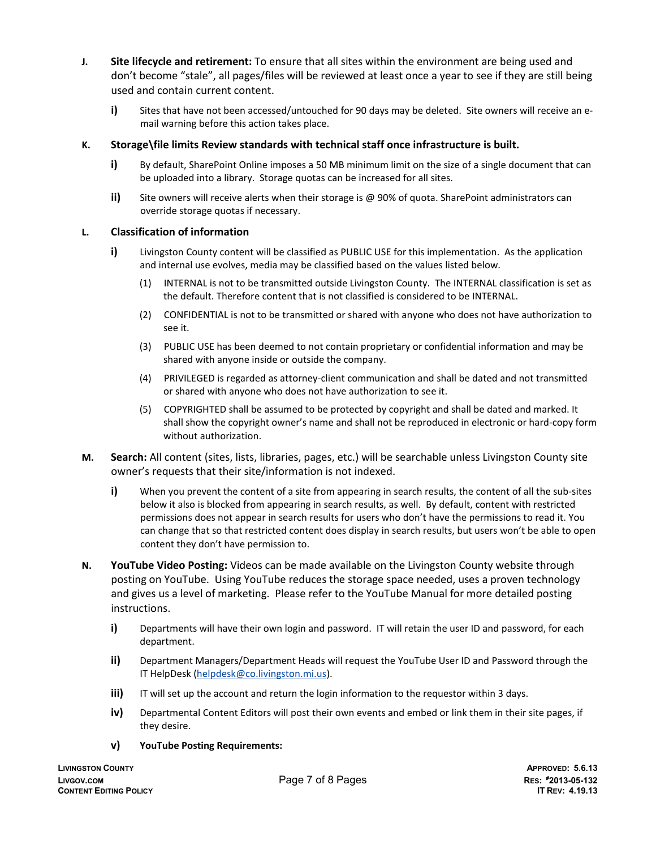- **J. Site lifecycle and retirement:** To ensure that all sites within the environment are being used and don't become "stale", all pages/files will be reviewed at least once a year to see if they are still being used and contain current content.
	- **i)** Sites that have not been accessed/untouched for 90 days may be deleted. Site owners will receive an email warning before this action takes place.

## **K. Storage\file limits Review standards with technical staff once infrastructure is built.**

- **i)** By default, SharePoint Online imposes a 50 MB minimum limit on the size of a single document that can be uploaded into a library. Storage quotas can be increased for all sites.
- **ii)** Site owners will receive alerts when their storage is @ 90% of quota. SharePoint administrators can override storage quotas if necessary.

## **L. Classification of information**

- **i)** Livingston County content will be classified as PUBLIC USE for this implementation. As the application and internal use evolves, media may be classified based on the values listed below.
	- (1) INTERNAL is not to be transmitted outside Livingston County. The INTERNAL classification is set as the default. Therefore content that is not classified is considered to be INTERNAL.
	- (2) CONFIDENTIAL is not to be transmitted or shared with anyone who does not have authorization to see it.
	- (3) PUBLIC USE has been deemed to not contain proprietary or confidential information and may be shared with anyone inside or outside the company.
	- (4) PRIVILEGED is regarded as attorney-client communication and shall be dated and not transmitted or shared with anyone who does not have authorization to see it.
	- (5) COPYRIGHTED shall be assumed to be protected by copyright and shall be dated and marked. It shall show the copyright owner's name and shall not be reproduced in electronic or hard-copy form without authorization.
- **M. Search:** All content (sites, lists, libraries, pages, etc.) will be searchable unless Livingston County site owner's requests that their site/information is not indexed.
	- **i)** When you prevent the content of a site from appearing in search results, the content of all the sub-sites below it also is blocked from appearing in search results, as well. By default, content with restricted permissions does not appear in search results for users who don't have the permissions to read it. You can change that so that restricted content does display in search results, but users won't be able to open content they don't have permission to.
- **N. YouTube Video Posting:** Videos can be made available on the Livingston County website through posting on YouTube. Using YouTube reduces the storage space needed, uses a proven technology and gives us a level of marketing. Please refer to the YouTube Manual for more detailed posting instructions.
	- **i)** Departments will have their own login and password. IT will retain the user ID and password, for each department.
	- **ii)** Department Managers/Department Heads will request the YouTube User ID and Password through the IT HelpDesk [\(helpdesk@co.livingston.mi.us\)](mailto:helpdesk@co.livingston.mi.us).
	- **iii)** IT will set up the account and return the login information to the requestor within 3 days.
	- **iv)** Departmental Content Editors will post their own events and embed or link them in their site pages, if they desire.
	- **v) YouTube Posting Requirements:**